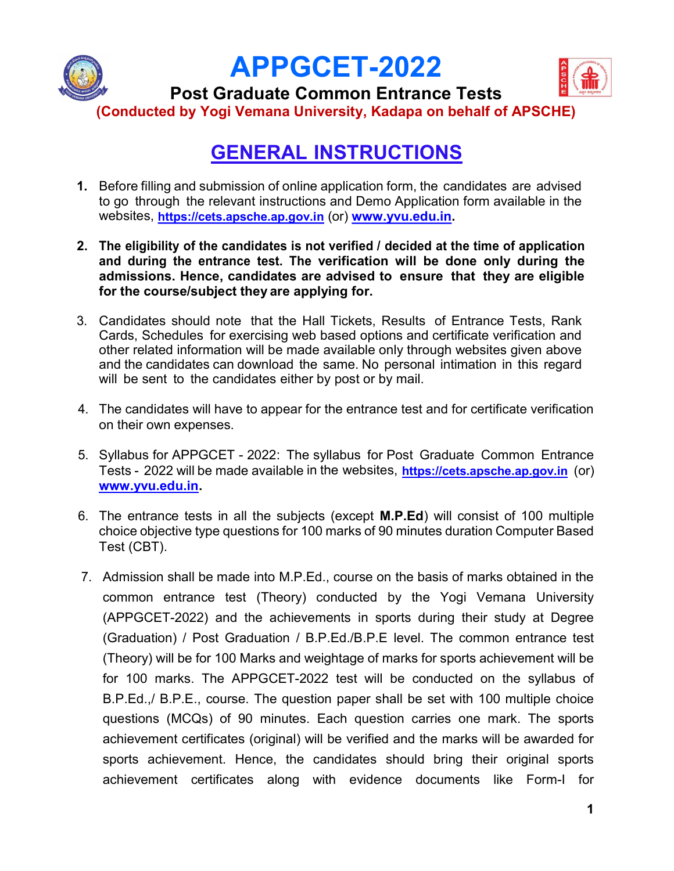

## GENERAL INSTRUCTIONS

- 1. Before filling and submission of online application form, the candidates are advised to go through the relevant instructions and Demo Application form available in the websites, https://cets.apsche.ap.gov.in (or) www.yvu.edu.in.
- 2. The eligibility of the candidates is not verified / decided at the time of application and during the entrance test. The verification will be done only during the admissions. Hence, candidates are advised to ensure that they are eligible for the course/subject they are applying for.
- 3. Candidates should note that the Hall Tickets, Results of Entrance Tests, Rank Cards, Schedules for exercising web based options and certificate verification and other related information will be made available only through websites given above and the candidates can download the same. No personal intimation in this regard will be sent to the candidates either by post or by mail.
- 4. The candidates will have to appear for the entrance test and for certificate verification on their own expenses.
- 5. Syllabus for APPGCET 2022: The syllabus for Post Graduate Common Entrance Tests - 2022 will be made available in the websites, https://cets.apsche.ap.gov.in (or) www.yvu.edu.in.
- 6. The entrance tests in all the subjects (except M.P.Ed) will consist of 100 multiple choice objective type questions for 100 marks of 90 minutes duration Computer Based Test (CBT).
- 7. Admission shall be made into M.P.Ed., course on the basis of marks obtained in the common entrance test (Theory) conducted by the Yogi Vemana University (APPGCET-2022) and the achievements in sports during their study at Degree (Graduation) / Post Graduation / B.P.Ed./B.P.E level. The common entrance test (Theory) will be for 100 Marks and weightage of marks for sports achievement will be for 100 marks. The APPGCET-2022 test will be conducted on the syllabus of B.P.Ed.,/ B.P.E., course. The question paper shall be set with 100 multiple choice questions (MCQs) of 90 minutes. Each question carries one mark. The sports achievement certificates (original) will be verified and the marks will be awarded for sports achievement. Hence, the candidates should bring their original sports achievement certificates along with evidence documents like Form-I for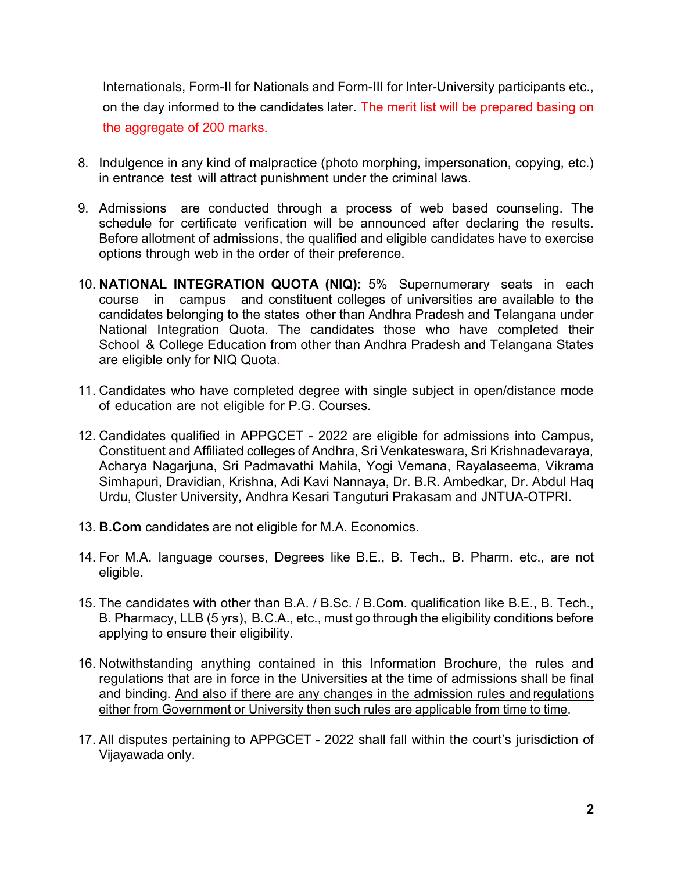Internationals, Form-II for Nationals and Form-III for Inter-University participants etc., on the day informed to the candidates later. The merit list will be prepared basing on the aggregate of 200 marks.

- 8. Indulgence in any kind of malpractice (photo morphing, impersonation, copying, etc.) in entrance test will attract punishment under the criminal laws.
- 9. Admissions are conducted through a process of web based counseling. The schedule for certificate verification will be announced after declaring the results. Before allotment of admissions, the qualified and eligible candidates have to exercise options through web in the order of their preference.
- 10. NATIONAL INTEGRATION QUOTA (NIQ): 5% Supernumerary seats in each course in campus and constituent colleges of universities are available to the candidates belonging to the states other than Andhra Pradesh and Telangana under National Integration Quota. The candidates those who have completed their School & College Education from other than Andhra Pradesh and Telangana States are eligible only for NIQ Quota.
- 11. Candidates who have completed degree with single subject in open/distance mode of education are not eligible for P.G. Courses.
- 12. Candidates qualified in APPGCET 2022 are eligible for admissions into Campus, Constituent and Affiliated colleges of Andhra, Sri Venkateswara, Sri Krishnadevaraya, Acharya Nagarjuna, Sri Padmavathi Mahila, Yogi Vemana, Rayalaseema, Vikrama Simhapuri, Dravidian, Krishna, Adi Kavi Nannaya, Dr. B.R. Ambedkar, Dr. Abdul Haq Urdu, Cluster University, Andhra Kesari Tanguturi Prakasam and JNTUA-OTPRI.
- 13. B.Com candidates are not eligible for M.A. Economics.
- 14. For M.A. language courses, Degrees like B.E., B. Tech., B. Pharm. etc., are not eligible.
- 15. The candidates with other than B.A. / B.Sc. / B.Com. qualification like B.E., B. Tech., B. Pharmacy, LLB (5 yrs), B.C.A., etc., must go through the eligibility conditions before applying to ensure their eligibility.
- 16. Notwithstanding anything contained in this Information Brochure, the rules and regulations that are in force in the Universities at the time of admissions shall be final and binding. And also if there are any changes in the admission rules and regulations either from Government or University then such rules are applicable from time to time.
- 17. All disputes pertaining to APPGCET 2022 shall fall within the court's jurisdiction of Vijayawada only.